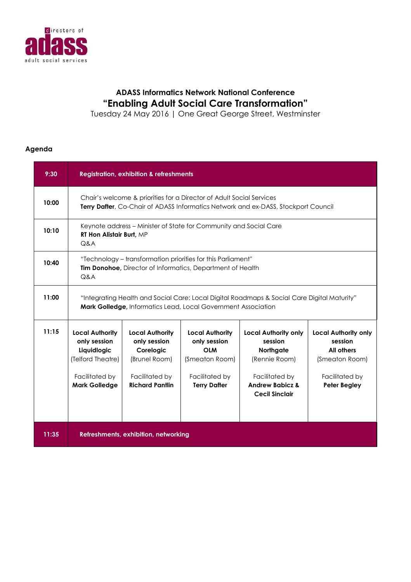

## **ADASS Informatics Network National Conference "Enabling Adult Social Care Transformation"**

Tuesday 24 May 2016 | One Great George Street, Westminster

## **Agenda**

| 9:30  | <b>Registration, exhibition &amp; refreshments</b>                                                                                                                  |                                                                                                                  |                                                                                                                 |                                                                                                                                               |                                                                                                                        |
|-------|---------------------------------------------------------------------------------------------------------------------------------------------------------------------|------------------------------------------------------------------------------------------------------------------|-----------------------------------------------------------------------------------------------------------------|-----------------------------------------------------------------------------------------------------------------------------------------------|------------------------------------------------------------------------------------------------------------------------|
| 10:00 | Chair's welcome & priorities for a Director of Adult Social Services<br><b>Terry Dafter, Co-Chair of ADASS Informatics Network and ex-DASS, Stockport Council</b>   |                                                                                                                  |                                                                                                                 |                                                                                                                                               |                                                                                                                        |
| 10:10 | Keynote address – Minister of State for Community and Social Care<br><b>RT Hon Alistair Burt, MP</b><br>Q&A                                                         |                                                                                                                  |                                                                                                                 |                                                                                                                                               |                                                                                                                        |
| 10:40 | "Technology – transformation priorities for this Parliament"<br><b>Tim Donohoe, Director of Informatics, Department of Health</b><br>Q&A                            |                                                                                                                  |                                                                                                                 |                                                                                                                                               |                                                                                                                        |
| 11:00 | "Integrating Health and Social Care: Local Digital Roadmaps & Social Care Digital Maturity"<br><b>Mark Golledge, Informatics Lead, Local Government Association</b> |                                                                                                                  |                                                                                                                 |                                                                                                                                               |                                                                                                                        |
| 11:15 | <b>Local Authority</b><br>only session<br>Liquidlogic<br>(Telford Theatre)<br>Facilitated by<br><b>Mark Golledge</b>                                                | <b>Local Authority</b><br>only session<br>Corelogic<br>(Brunel Room)<br>Facilitated by<br><b>Richard Pantlin</b> | <b>Local Authority</b><br>only session<br><b>OLM</b><br>(Smeaton Room)<br>Facilitated by<br><b>Terry Dafter</b> | <b>Local Authority only</b><br>session<br>Northgate<br>(Rennie Room)<br>Facilitated by<br><b>Andrew Babicz &amp;</b><br><b>Cecil Sinclair</b> | <b>Local Authority only</b><br>session<br><b>All others</b><br>(Smeaton Room)<br>Facilitated by<br><b>Peter Begley</b> |
| 11:35 |                                                                                                                                                                     | Refreshments, exhibition, networking                                                                             |                                                                                                                 |                                                                                                                                               |                                                                                                                        |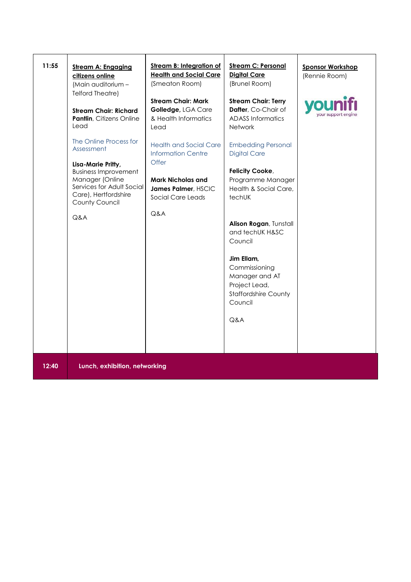| 11:55 | <b>Stream A: Engaging</b><br>citizens online<br>(Main auditorium -<br><b>Telford Theatre)</b><br><b>Stream Chair: Richard</b><br>Pantlin, Citizens Online<br>Lead<br>The Online Process for<br>Assessment<br>Lisa-Marie Pritty,<br><b>Business Improvement</b><br>Manager (Online<br>Services for Adult Social<br>Care), Hertfordshire<br>County Council<br>Q&A | <b>Stream B: Integration of</b><br><b>Health and Social Care</b><br>(Smeaton Room)<br><b>Stream Chair: Mark</b><br>Golledge, LGA Care<br>& Health Informatics<br>Lead<br><b>Health and Social Care</b><br><b>Information Centre</b><br>Offer<br><b>Mark Nicholas and</b><br>James Palmer, HSCIC<br>Social Care Leads<br>Q&A | <b>Stream C: Personal</b><br><b>Digital Care</b><br>(Brunel Room)<br><b>Stream Chair: Terry</b><br>Dafter, Co-Chair of<br><b>ADASS Informatics</b><br>Network<br><b>Embedding Personal</b><br><b>Digital Care</b><br>Felicity Cooke,<br>Programme Manager<br>Health & Social Care,<br>techUK<br>Alison Rogan, Tunstall<br>and techUK H&SC<br>Council<br>Jim Ellam,<br>Commissioning<br>Manager and AT<br>Project Lead,<br><b>Staffordshire County</b><br>Council<br>Q&A | <b>Sponsor Workshop</b><br>(Rennie Room) |
|-------|-----------------------------------------------------------------------------------------------------------------------------------------------------------------------------------------------------------------------------------------------------------------------------------------------------------------------------------------------------------------|-----------------------------------------------------------------------------------------------------------------------------------------------------------------------------------------------------------------------------------------------------------------------------------------------------------------------------|-------------------------------------------------------------------------------------------------------------------------------------------------------------------------------------------------------------------------------------------------------------------------------------------------------------------------------------------------------------------------------------------------------------------------------------------------------------------------|------------------------------------------|
| 12:40 | Lunch, exhibition, networking                                                                                                                                                                                                                                                                                                                                   |                                                                                                                                                                                                                                                                                                                             |                                                                                                                                                                                                                                                                                                                                                                                                                                                                         |                                          |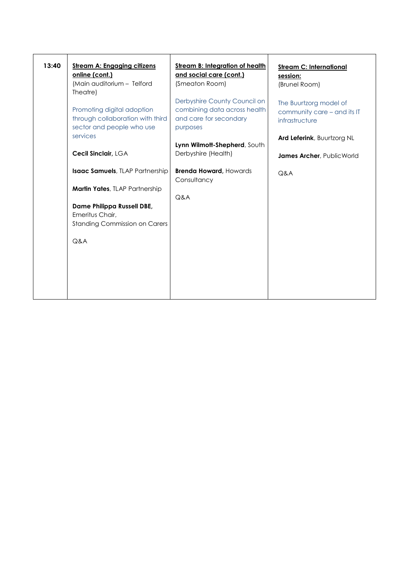| 13:40 | <b>Stream A: Engaging citizens</b><br>online (cont.)<br>(Main auditorium - Telford<br>Theatre) | <b>Stream B: Integration of health</b><br>and social care (cont.)<br>(Smeaton Room)                | <b>Stream C: International</b><br>session:<br>(Brunel Room)             |
|-------|------------------------------------------------------------------------------------------------|----------------------------------------------------------------------------------------------------|-------------------------------------------------------------------------|
|       | Promoting digital adoption<br>through collaboration with third<br>sector and people who use    | Derbyshire County Council on<br>combining data across health<br>and care for secondary<br>purposes | The Buurtzorg model of<br>community care – and its IT<br>infrastructure |
|       | services                                                                                       | Lynn Wilmott-Shepherd, South                                                                       | Ard Leferink, Buurtzorg NL                                              |
|       | Cecil Sinclair, LGA                                                                            | Derbyshire (Health)                                                                                | James Archer, Public World                                              |
|       | <b>Isaac Samuels</b> , TLAP Partnership                                                        | <b>Brenda Howard, Howards</b><br>Consultancy                                                       | Q&A                                                                     |
|       | Martin Yates, TLAP Partnership                                                                 | Q&A                                                                                                |                                                                         |
|       | Dame Philippa Russell DBE,<br>Emeritus Chair,<br><b>Standing Commission on Carers</b>          |                                                                                                    |                                                                         |
|       | Q&A                                                                                            |                                                                                                    |                                                                         |
|       |                                                                                                |                                                                                                    |                                                                         |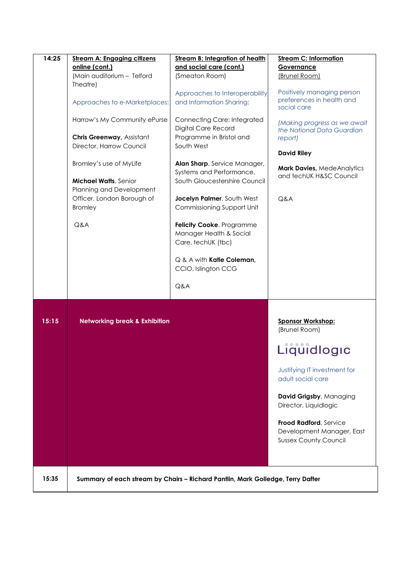| 14:25 | <b>Stream A: Engaging citizens</b><br>online (cont.)<br>(Main auditorium - Telford<br>Theatre)<br>Approaches to e-Marketplaces:<br>Harrow's My Community ePurse<br>Chris Greenway, Assistant | <b>Stream B: Integration of health</b><br>and social care (cont.)<br>(Smeaton Room)<br>Approaches to Interoperability<br>and Information Sharing:<br><b>Connecting Care: Integrated</b><br>Digital Care Record<br>Programme in Bristol and | <b>Stream C: Information</b><br>Governance<br>(Brunel Room)<br>Positively managing person<br>preferences in health and<br>social care<br>(Making progress as we await<br>the National Data Guardian<br>report)                                           |
|-------|----------------------------------------------------------------------------------------------------------------------------------------------------------------------------------------------|--------------------------------------------------------------------------------------------------------------------------------------------------------------------------------------------------------------------------------------------|----------------------------------------------------------------------------------------------------------------------------------------------------------------------------------------------------------------------------------------------------------|
|       | Director, Harrow Council<br>Bromley's use of MyLife<br><b>Michael Watts, Senior</b><br>Planning and Development<br>Officer, London Borough of                                                | South West<br>Alan Sharp, Service Manager,<br>Systems and Performance,<br>South Gloucestershire Council<br>Jocelyn Palmer, South West                                                                                                      | <b>David Riley</b><br>Mark Davies, MedeAnalytics<br>and techUK H&SC Council<br>Q&A                                                                                                                                                                       |
|       | <b>Bromley</b><br>Q&A                                                                                                                                                                        | Commissioning Support Unit<br>Felicity Cooke, Programme<br>Manager Health & Social<br>Care, techUK (tbc)<br>Q & A with Katie Coleman,<br>CCIO, Islington CCG<br>Q&A                                                                        |                                                                                                                                                                                                                                                          |
| 15:15 | <b>Networking break &amp; Exhibition</b>                                                                                                                                                     |                                                                                                                                                                                                                                            | <b>Sponsor Workshop:</b><br>(Brunel Room)<br>Liquidlogic<br>Justifying IT investment for<br>adult social care<br>David Grigsby, Managing<br>Director, Liquidlogic<br>Frood Radford, Service<br>Development Manager, East<br><b>Sussex County Council</b> |
| 15:35 |                                                                                                                                                                                              | Summary of each stream by Chairs - Richard Pantlin, Mark Golledge, Terry Dafter                                                                                                                                                            |                                                                                                                                                                                                                                                          |